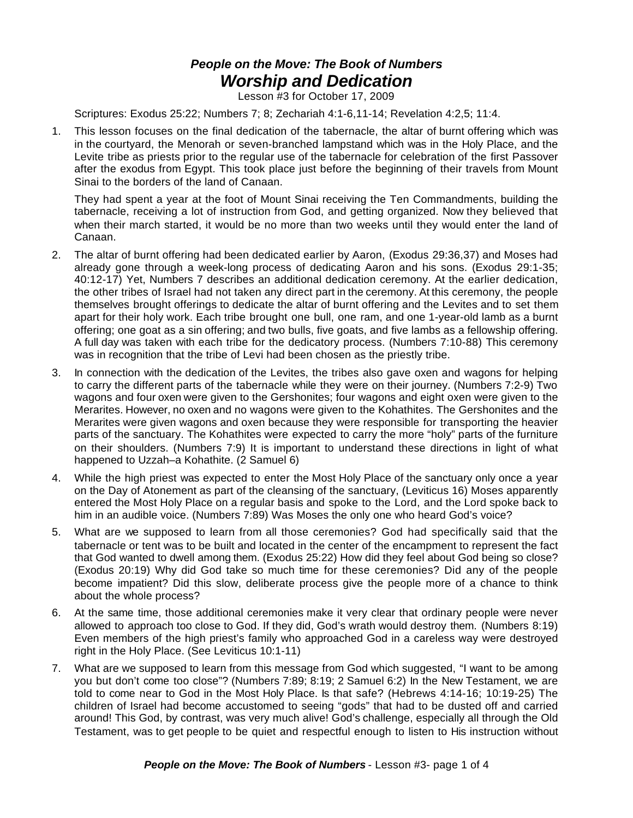## *People on the Move: The Book of Numbers Worship and Dedication*

Lesson #3 for October 17, 2009

Scriptures: Exodus 25:22; Numbers 7; 8; Zechariah 4:1-6,11-14; Revelation 4:2,5; 11:4.

1. This lesson focuses on the final dedication of the tabernacle, the altar of burnt offering which was in the courtyard, the Menorah or seven-branched lampstand which was in the Holy Place, and the Levite tribe as priests prior to the regular use of the tabernacle for celebration of the first Passover after the exodus from Egypt. This took place just before the beginning of their travels from Mount Sinai to the borders of the land of Canaan.

They had spent a year at the foot of Mount Sinai receiving the Ten Commandments, building the tabernacle, receiving a lot of instruction from God, and getting organized. Now they believed that when their march started, it would be no more than two weeks until they would enter the land of Canaan.

- 2. The altar of burnt offering had been dedicated earlier by Aaron, (Exodus 29:36,37) and Moses had already gone through a week-long process of dedicating Aaron and his sons. (Exodus 29:1-35; 40:12-17) Yet, Numbers 7 describes an additional dedication ceremony. At the earlier dedication, the other tribes of Israel had not taken any direct part in the ceremony. At this ceremony, the people themselves brought offerings to dedicate the altar of burnt offering and the Levites and to set them apart for their holy work. Each tribe brought one bull, one ram, and one 1-year-old lamb as a burnt offering; one goat as a sin offering; and two bulls, five goats, and five lambs as a fellowship offering. A full day was taken with each tribe for the dedicatory process. (Numbers 7:10-88) This ceremony was in recognition that the tribe of Levi had been chosen as the priestly tribe.
- 3. In connection with the dedication of the Levites, the tribes also gave oxen and wagons for helping to carry the different parts of the tabernacle while they were on their journey. (Numbers 7:2-9) Two wagons and four oxen were given to the Gershonites; four wagons and eight oxen were given to the Merarites. However, no oxen and no wagons were given to the Kohathites. The Gershonites and the Merarites were given wagons and oxen because they were responsible for transporting the heavier parts of the sanctuary. The Kohathites were expected to carry the more "holy" parts of the furniture on their shoulders. (Numbers 7:9) It is important to understand these directions in light of what happened to Uzzah–a Kohathite. (2 Samuel 6)
- 4. While the high priest was expected to enter the Most Holy Place of the sanctuary only once a year on the Day of Atonement as part of the cleansing of the sanctuary, (Leviticus 16) Moses apparently entered the Most Holy Place on a regular basis and spoke to the Lord, and the Lord spoke back to him in an audible voice. (Numbers 7:89) Was Moses the only one who heard God's voice?
- 5. What are we supposed to learn from all those ceremonies? God had specifically said that the tabernacle or tent was to be built and located in the center of the encampment to represent the fact that God wanted to dwell among them. (Exodus 25:22) How did they feel about God being so close? (Exodus 20:19) Why did God take so much time for these ceremonies? Did any of the people become impatient? Did this slow, deliberate process give the people more of a chance to think about the whole process?
- 6. At the same time, those additional ceremonies make it very clear that ordinary people were never allowed to approach too close to God. If they did, God's wrath would destroy them. (Numbers 8:19) Even members of the high priest's family who approached God in a careless way were destroyed right in the Holy Place. (See Leviticus 10:1-11)
- 7. What are we supposed to learn from this message from God which suggested, "I want to be among you but don't come too close"? (Numbers 7:89; 8:19; 2 Samuel 6:2) In the New Testament, we are told to come near to God in the Most Holy Place. Is that safe? (Hebrews 4:14-16; 10:19-25) The children of Israel had become accustomed to seeing "gods" that had to be dusted off and carried around! This God, by contrast, was very much alive! God's challenge, especially all through the Old Testament, was to get people to be quiet and respectful enough to listen to His instruction without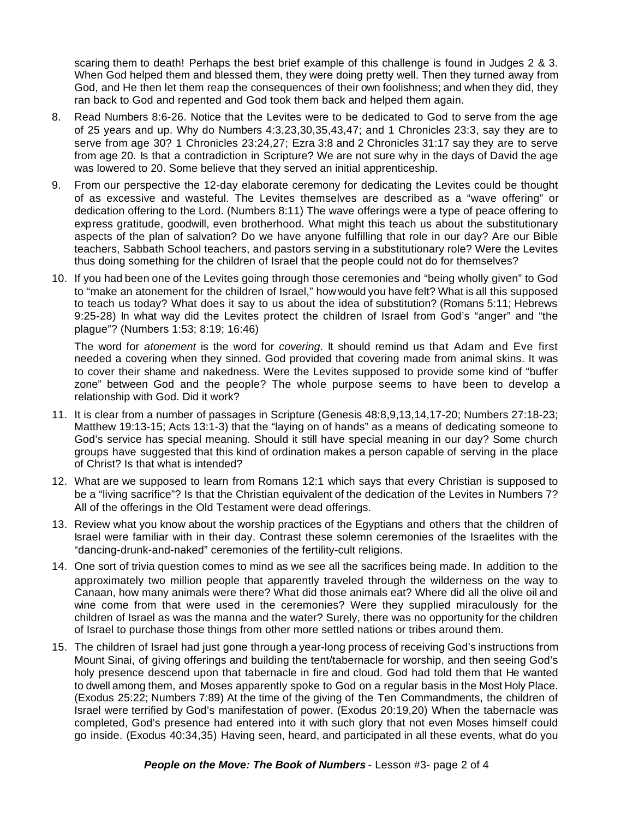scaring them to death! Perhaps the best brief example of this challenge is found in Judges 2 & 3. When God helped them and blessed them, they were doing pretty well. Then they turned away from God, and He then let them reap the consequences of their own foolishness; and when they did, they ran back to God and repented and God took them back and helped them again.

- 8. Read Numbers 8:6-26. Notice that the Levites were to be dedicated to God to serve from the age of 25 years and up. Why do Numbers 4:3,23,30,35,43,47; and 1 Chronicles 23:3, say they are to serve from age 30? 1 Chronicles 23:24,27; Ezra 3:8 and 2 Chronicles 31:17 say they are to serve from age 20. Is that a contradiction in Scripture? We are not sure why in the days of David the age was lowered to 20. Some believe that they served an initial apprenticeship.
- 9. From our perspective the 12-day elaborate ceremony for dedicating the Levites could be thought of as excessive and wasteful. The Levites themselves are described as a "wave offering" or dedication offering to the Lord. (Numbers 8:11) The wave offerings were a type of peace offering to express gratitude, goodwill, even brotherhood. What might this teach us about the substitutionary aspects of the plan of salvation? Do we have anyone fulfilling that role in our day? Are our Bible teachers, Sabbath School teachers, and pastors serving in a substitutionary role? Were the Levites thus doing something for the children of Israel that the people could not do for themselves?
- 10. If you had been one of the Levites going through those ceremonies and "being wholly given" to God to "make an atonement for the children of Israel," how would you have felt? What is all this supposed to teach us today? What does it say to us about the idea of substitution? (Romans 5:11; Hebrews 9:25-28) In what way did the Levites protect the children of Israel from God's "anger" and "the plague"? (Numbers 1:53; 8:19; 16:46)

The word for *atonement* is the word for *covering*. It should remind us that Adam and Eve first needed a covering when they sinned. God provided that covering made from animal skins. It was to cover their shame and nakedness. Were the Levites supposed to provide some kind of "buffer zone" between God and the people? The whole purpose seems to have been to develop a relationship with God. Did it work?

- 11. It is clear from a number of passages in Scripture (Genesis 48:8,9,13,14,17-20; Numbers 27:18-23; Matthew 19:13-15; Acts 13:1-3) that the "laying on of hands" as a means of dedicating someone to God's service has special meaning. Should it still have special meaning in our day? Some church groups have suggested that this kind of ordination makes a person capable of serving in the place of Christ? Is that what is intended?
- 12. What are we supposed to learn from Romans 12:1 which says that every Christian is supposed to be a "living sacrifice"? Is that the Christian equivalent of the dedication of the Levites in Numbers 7? All of the offerings in the Old Testament were dead offerings.
- 13. Review what you know about the worship practices of the Egyptians and others that the children of Israel were familiar with in their day. Contrast these solemn ceremonies of the Israelites with the "dancing-drunk-and-naked" ceremonies of the fertility-cult religions.
- 14. One sort of trivia question comes to mind as we see all the sacrifices being made. In addition to the approximately two million people that apparently traveled through the wilderness on the way to Canaan, how many animals were there? What did those animals eat? Where did all the olive oil and wine come from that were used in the ceremonies? Were they supplied miraculously for the children of Israel as was the manna and the water? Surely, there was no opportunity for the children of Israel to purchase those things from other more settled nations or tribes around them.
- 15. The children of Israel had just gone through a year-long process of receiving God's instructions from Mount Sinai, of giving offerings and building the tent/tabernacle for worship, and then seeing God's holy presence descend upon that tabernacle in fire and cloud. God had told them that He wanted to dwell among them, and Moses apparently spoke to God on a regular basis in the Most Holy Place. (Exodus 25:22; Numbers 7:89) At the time of the giving of the Ten Commandments, the children of Israel were terrified by God's manifestation of power. (Exodus 20:19,20) When the tabernacle was completed, God's presence had entered into it with such glory that not even Moses himself could go inside. (Exodus 40:34,35) Having seen, heard, and participated in all these events, what do you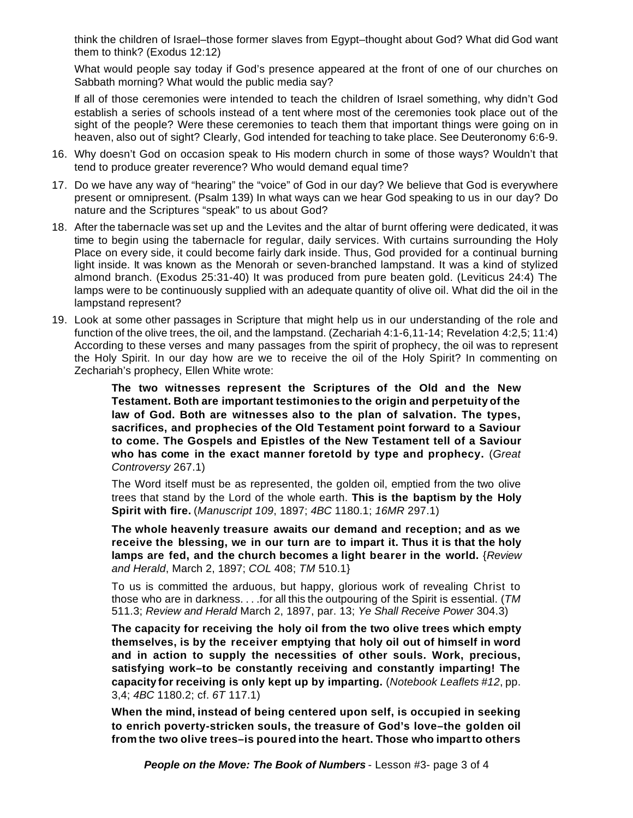think the children of Israel–those former slaves from Egypt–thought about God? What did God want them to think? (Exodus 12:12)

What would people say today if God's presence appeared at the front of one of our churches on Sabbath morning? What would the public media say?

If all of those ceremonies were intended to teach the children of Israel something, why didn't God establish a series of schools instead of a tent where most of the ceremonies took place out of the sight of the people? Were these ceremonies to teach them that important things were going on in heaven, also out of sight? Clearly, God intended for teaching to take place. See Deuteronomy 6:6-9.

- 16. Why doesn't God on occasion speak to His modern church in some of those ways? Wouldn't that tend to produce greater reverence? Who would demand equal time?
- 17. Do we have any way of "hearing" the "voice" of God in our day? We believe that God is everywhere present or omnipresent. (Psalm 139) In what ways can we hear God speaking to us in our day? Do nature and the Scriptures "speak" to us about God?
- 18. After the tabernacle was set up and the Levites and the altar of burnt offering were dedicated, it was time to begin using the tabernacle for regular, daily services. With curtains surrounding the Holy Place on every side, it could become fairly dark inside. Thus, God provided for a continual burning light inside. It was known as the Menorah or seven-branched lampstand. It was a kind of stylized almond branch. (Exodus 25:31-40) It was produced from pure beaten gold. (Leviticus 24:4) The lamps were to be continuously supplied with an adequate quantity of olive oil. What did the oil in the lampstand represent?
- 19. Look at some other passages in Scripture that might help us in our understanding of the role and function of the olive trees, the oil, and the lampstand. (Zechariah 4:1-6,11-14; Revelation 4:2,5; 11:4) According to these verses and many passages from the spirit of prophecy, the oil was to represent the Holy Spirit. In our day how are we to receive the oil of the Holy Spirit? In commenting on Zechariah's prophecy, Ellen White wrote:

**The two witnesses represent the Scriptures of the Old and the New Testament. Both are important testimonies to the origin and perpetuity of the law of God. Both are witnesses also to the plan of salvation. The types, sacrifices, and prophecies of the Old Testament point forward to a Saviour to come. The Gospels and Epistles of the New Testament tell of a Saviour who has come in the exact manner foretold by type and prophecy.** (*Great Controversy* 267.1)

The Word itself must be as represented, the golden oil, emptied from the two olive trees that stand by the Lord of the whole earth. **This is the baptism by the Holy Spirit with fire.** (*Manuscript 109*, 1897; *4BC* 1180.1; *16MR* 297.1)

**The whole heavenly treasure awaits our demand and reception; and as we receive the blessing, we in our turn are to impart it. Thus it is that the holy lamps are fed, and the church becomes a light bearer in the world.** {*Review and Herald*, March 2, 1897; *COL* 408; *TM* 510.1}

To us is committed the arduous, but happy, glorious work of revealing Christ to those who are in darkness. . . .for all this the outpouring of the Spirit is essential. (*TM* 511.3; *Review and Herald* March 2, 1897, par. 13; *Ye Shall Receive Power* 304.3)

**The capacity for receiving the holy oil from the two olive trees which empty themselves, is by the receiver emptying that holy oil out of himself in word and in action to supply the necessities of other souls. Work, precious, satisfying work–to be constantly receiving and constantly imparting! The capacity for receiving is only kept up by imparting.** (*Notebook Leaflets #12*, pp. 3,4; *4BC* 1180.2; cf. *6T* 117.1)

**When the mind, instead of being centered upon self, is occupied in seeking to enrich poverty-stricken souls, the treasure of God's love–the golden oil from the two olive trees–is poured into the heart. Those who impartto others**